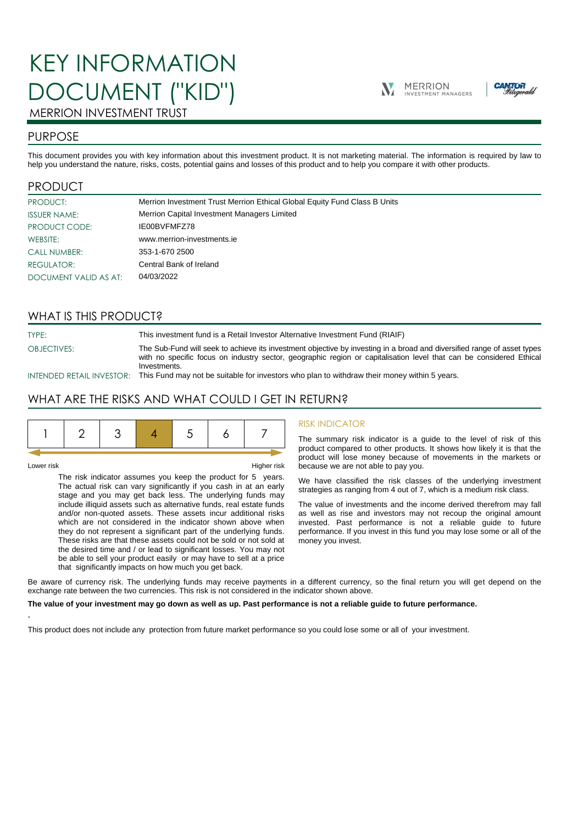# KEY INFORMATION DOCUMENT ("KID")





## MERRION INVESTMENT TRUST

## PURPOSE

This document provides you with key information about this investment product. It is not marketing material. The information is required by law to help you understand the nature, risks, costs, potential gains and losses of this product and to help you compare it with other products.

## PRODUCT

| PRODUCT:              | Merrion Investment Trust Merrion Ethical Global Equity Fund Class B Units |
|-----------------------|---------------------------------------------------------------------------|
| <b>ISSUER NAME:</b>   | Merrion Capital Investment Managers Limited                               |
| PRODUCT CODE:         | IE00BVFMFZ78                                                              |
| WEBSITE:              | www.merrion-investments.ie                                                |
| <b>CALL NUMBER:</b>   | 353-1-670 2500                                                            |
| REGULATOR:            | Central Bank of Ireland                                                   |
| DOCUMENT VALID AS AT: | 04/03/2022                                                                |

## WHAT IS THIS PRODUCT?

TYPE: This investment fund is a Retail Investor Alternative Investment Fund (RIAIF) OBJECTIVES: The Sub-Fund will seek to achieve its investment objective by investing in a broad and diversified range of asset types with no specific focus on industry sector, geographic region or capitalisation level that can be considered Ethical **Investments** 

INTENDED RETAIL INVESTOR: This Fund may not be suitable for investors who plan to withdraw their money within 5 years.

## WHAT ARE THE RISKS AND WHAT COULD I GET IN RETURN?

|--|--|--|--|--|--|--|--|

-

Lower risk Higher risk

The risk indicator assumes you keep the product for 5 years. The actual risk can vary significantly if you cash in at an early stage and you may get back less. The underlying funds may include illiquid assets such as alternative funds, real estate funds and/or non-quoted assets. These assets incur additional risks which are not considered in the indicator shown above when they do not represent a significant part of the underlying funds. These risks are that these assets could not be sold or not sold at the desired time and / or lead to significant losses. You may not be able to sell your product easily or may have to sell at a price that significantly impacts on how much you get back.

#### RISK INDICATOR

The summary risk indicator is a guide to the level of risk of this product compared to other products. It shows how likely it is that the product will lose money because of movements in the markets or because we are not able to pay you.

We have classified the risk classes of the underlying investment strategies as ranging from 4 out of 7, which is a medium risk class.

The value of investments and the income derived therefrom may fall as well as rise and investors may not recoup the original amount invested. Past performance is not a reliable guide to future performance. If you invest in this fund you may lose some or all of the money you invest.

Be aware of currency risk. The underlying funds may receive payments in a different currency, so the final return you will get depend on the exchange rate between the two currencies. This risk is not considered in the indicator shown above.

#### **The value of your investment may go down as well as up. Past performance is not a reliable guide to future performance.**

This product does not include any protection from future market performance so you could lose some or all of your investment.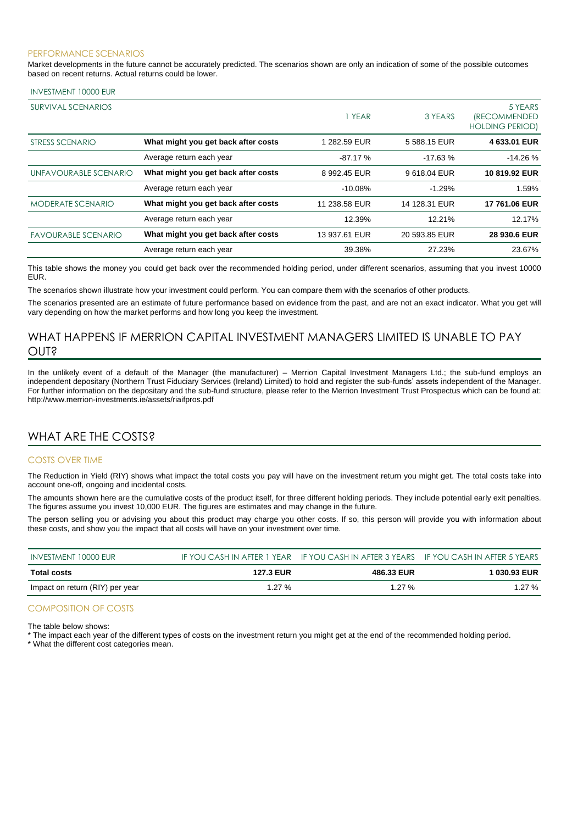#### PERFORMANCE SCENARIOS

Market developments in the future cannot be accurately predicted. The scenarios shown are only an indication of some of the possible outcomes based on recent returns. Actual returns could be lower.

#### INVESTMENT 10000 EUR

| SURVIVAL SCENARIOS         |                                     | 1 YEAR        | 3 YEARS       | 5 YEARS<br><i><b>(RECOMMENDED</b></i><br><b>HOLDING PERIOD)</b> |
|----------------------------|-------------------------------------|---------------|---------------|-----------------------------------------------------------------|
| STRESS SCENARIO            | What might you get back after costs | 1 282.59 EUR  | 5 588.15 EUR  | 4 633.01 EUR                                                    |
|                            | Average return each year            | $-87.17%$     | $-17.63%$     | $-14.26%$                                                       |
| UNFAVOURABLE SCENARIO      | What might you get back after costs | 8 992.45 EUR  | 9618.04 EUR   | 10819.92 EUR                                                    |
|                            | Average return each year            | $-10.08\%$    | $-1.29%$      | 1.59%                                                           |
| <b>MODERATE SCENARIO</b>   | What might you get back after costs | 11 238.58 EUR | 14 128.31 EUR | 17 761.06 EUR                                                   |
|                            | Average return each year            | 12.39%        | 12.21%        | 12.17%                                                          |
| <b>FAVOURABLE SCENARIO</b> | What might you get back after costs | 13 937.61 EUR | 20 593.85 EUR | 28 930.6 EUR                                                    |
|                            | Average return each year            | 39.38%        | 27.23%        | 23.67%                                                          |

This table shows the money you could get back over the recommended holding period, under different scenarios, assuming that you invest 10000 EUR.

The scenarios shown illustrate how your investment could perform. You can compare them with the scenarios of other products.

The scenarios presented are an estimate of future performance based on evidence from the past, and are not an exact indicator. What you get will vary depending on how the market performs and how long you keep the investment.

## WHAT HAPPENS IF MERRION CAPITAL INVESTMENT MANAGERS LIMITED IS UNABLE TO PAY OUT?

In the unlikely event of a default of the Manager (the manufacturer) – Merrion Capital Investment Managers Ltd.; the sub-fund employs an independent depositary (Northern Trust Fiduciary Services (Ireland) Limited) to hold and register the sub-funds' assets independent of the Manager. For further information on the depositary and the sub-fund structure, please refer to the Merrion Investment Trust Prospectus which can be found at: http://www.merrion-investments.ie/assets/riaifpros.pdf

## WHAT ARE THE COSTS?

#### COSTS OVER TIME

The Reduction in Yield (RIY) shows what impact the total costs you pay will have on the investment return you might get. The total costs take into account one-off, ongoing and incidental costs.

The amounts shown here are the cumulative costs of the product itself, for three different holding periods. They include potential early exit penalties. The figures assume you invest 10,000 EUR. The figures are estimates and may change in the future.

The person selling you or advising you about this product may charge you other costs. If so, this person will provide you with information about these costs, and show you the impact that all costs will have on your investment over time.

| INVESTMENT 10000 EUR            |           | IF YOU CASH IN AFTER 1 YEAR IF YOU CASH IN AFTER 3 YEARS IF YOU CASH IN AFTER 5 YEARS |              |
|---------------------------------|-----------|---------------------------------------------------------------------------------------|--------------|
| Total costs                     | 127.3 EUR | 486.33 EUR                                                                            | 1 030.93 EUR |
| Impact on return (RIY) per year | 1.27 $%$  | 1.27 $%$                                                                              | 1.27 $%$     |

#### COMPOSITION OF COSTS

The table below shows:

\* The impact each year of the different types of costs on the investment return you might get at the end of the recommended holding period.

\* What the different cost categories mean.